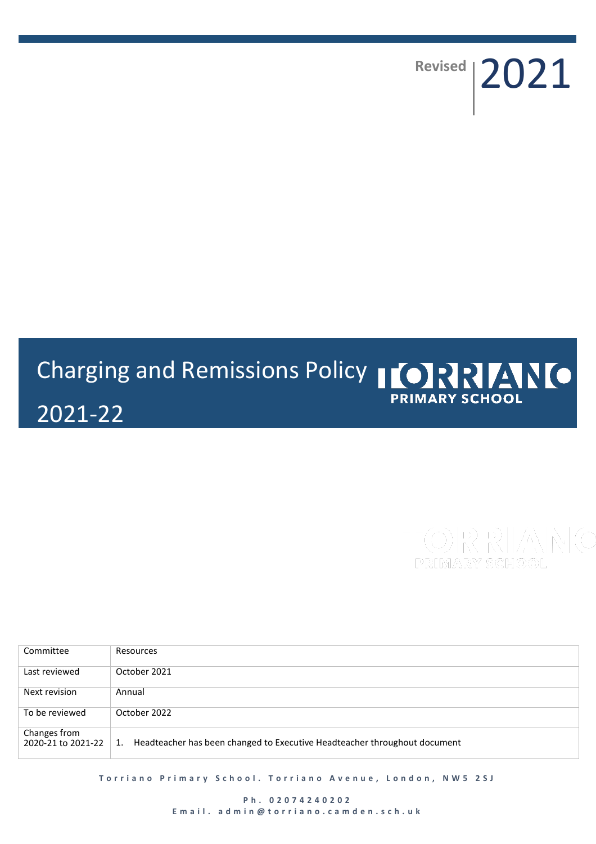**Revised** 2021

# Charging and Remissions Policy | ORRANO **PRIMARY SCHOOL** 2021-22

Committee Resources Last reviewed October 2021 Next revision | Annual To be reviewed October 2022 Changes from<br>2020-21 to 2021-22 1. Headteacher has been changed to Executive Headteacher throughout document

**Torriano Primary School. Torriano Avenue, London, NW5 2SJ** 

**P h . 02074240202 E m a i l . a d m i n @ t o r r i a n o . c a m d e n . s c h . u k**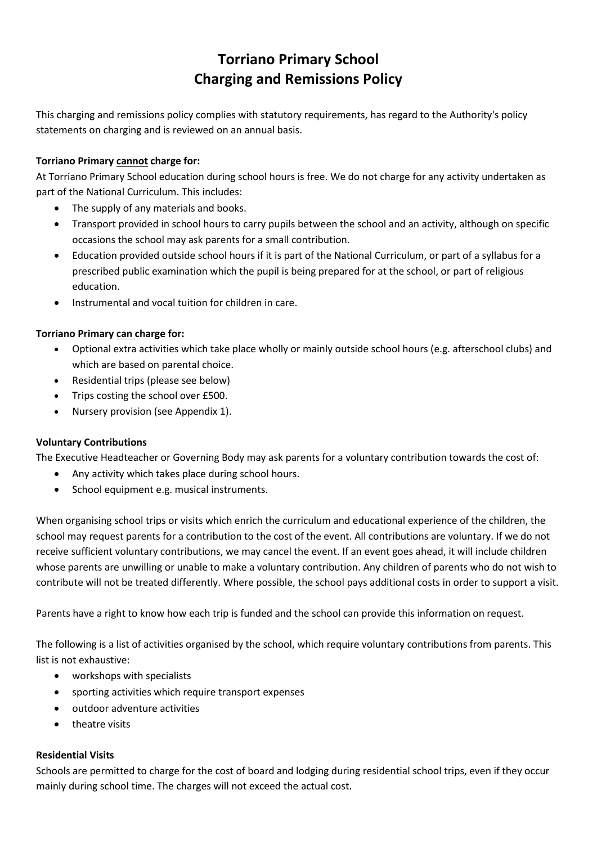## **Torriano Primary School Charging and Remissions Policy**

This charging and remissions policy complies with statutory requirements, has regard to the Authority's policy statements on charging and is reviewed on an annual basis.

### **Torriano Primary cannot charge for:**

At Torriano Primary School education during school hours is free. We do not charge for any activity undertaken as part of the National Curriculum. This includes:

- The supply of any materials and books.
- Transport provided in school hours to carry pupils between the school and an activity, although on specific occasions the school may ask parents for a small contribution.
- Education provided outside school hours if it is part of the National Curriculum, or part of a syllabus for a prescribed public examination which the pupil is being prepared for at the school, or part of religious education.
- Instrumental and vocal tuition for children in care.

#### **Torriano Primary can charge for:**

- Optional extra activities which take place wholly or mainly outside school hours (e.g. afterschool clubs) and which are based on parental choice.
- Residential trips (please see below)
- Trips costing the school over £500.
- Nursery provision (see Appendix 1).

#### **Voluntary Contributions**

The Executive Headteacher or Governing Body may ask parents for a voluntary contribution towards the cost of:

- Any activity which takes place during school hours.
- School equipment e.g. musical instruments.

When organising school trips or visits which enrich the curriculum and educational experience of the children, the school may request parents for a contribution to the cost of the event. All contributions are voluntary. If we do not receive sufficient voluntary contributions, we may cancel the event. If an event goes ahead, it will include children whose parents are unwilling or unable to make a voluntary contribution. Any children of parents who do not wish to contribute will not be treated differently. Where possible, the school pays additional costs in order to support a visit.

Parents have a right to know how each trip is funded and the school can provide this information on request.

The following is a list of activities organised by the school, which require voluntary contributions from parents. This list is not exhaustive:

- workshops with specialists
- sporting activities which require transport expenses
- outdoor adventure activities
- theatre visits

#### **Residential Visits**

Schools are permitted to charge for the cost of board and lodging during residential school trips, even if they occur mainly during school time. The charges will not exceed the actual cost.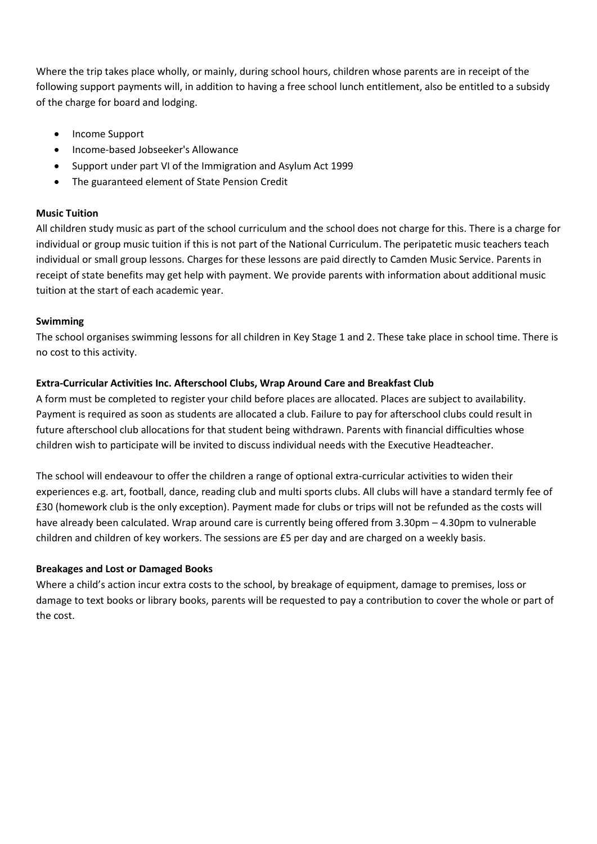Where the trip takes place wholly, or mainly, during school hours, children whose parents are in receipt of the following support payments will, in addition to having a free school lunch entitlement, also be entitled to a subsidy of the charge for board and lodging.

- Income Support
- Income-based Jobseeker's Allowance
- Support under part VI of the Immigration and Asylum Act 1999
- The guaranteed element of State Pension Credit

#### **Music Tuition**

All children study music as part of the school curriculum and the school does not charge for this. There is a charge for individual or group music tuition if this is not part of the National Curriculum. The peripatetic music teachers teach individual or small group lessons. Charges for these lessons are paid directly to Camden Music Service. Parents in receipt of state benefits may get help with payment. We provide parents with information about additional music tuition at the start of each academic year.

#### **Swimming**

The school organises swimming lessons for all children in Key Stage 1 and 2. These take place in school time. There is no cost to this activity.

#### **Extra-Curricular Activities Inc. Afterschool Clubs, Wrap Around Care and Breakfast Club**

A form must be completed to register your child before places are allocated. Places are subject to availability. Payment is required as soon as students are allocated a club. Failure to pay for afterschool clubs could result in future afterschool club allocations for that student being withdrawn. Parents with financial difficulties whose children wish to participate will be invited to discuss individual needs with the Executive Headteacher.

The school will endeavour to offer the children a range of optional extra-curricular activities to widen their experiences e.g. art, football, dance, reading club and multi sports clubs. All clubs will have a standard termly fee of £30 (homework club is the only exception). Payment made for clubs or trips will not be refunded as the costs will have already been calculated. Wrap around care is currently being offered from 3.30pm – 4.30pm to vulnerable children and children of key workers. The sessions are £5 per day and are charged on a weekly basis.

#### **Breakages and Lost or Damaged Books**

Where a child's action incur extra costs to the school, by breakage of equipment, damage to premises, loss or damage to text books or library books, parents will be requested to pay a contribution to cover the whole or part of the cost.